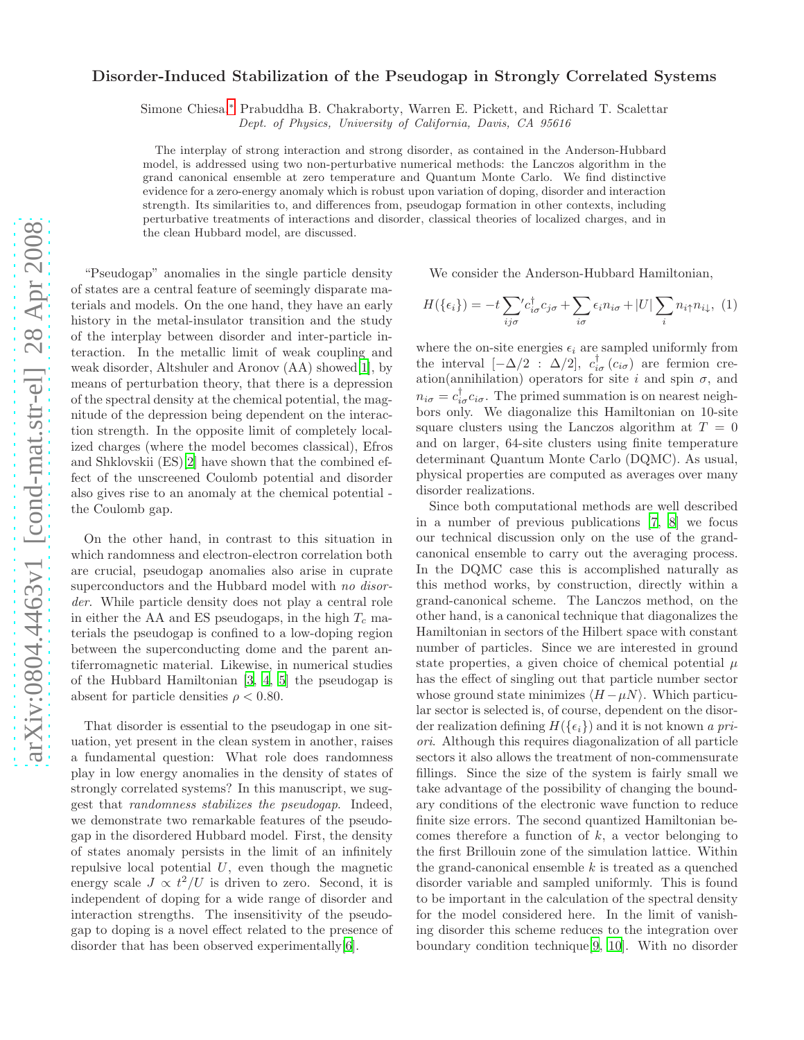## Disorder-Induced Stabilization of the Pseudogap in Strongly Correlated Systems

Simone Chiesa,[∗](#page-3-0) Prabuddha B. Chakraborty, Warren E. Pickett, and Richard T. Scalettar

Dept. of Physics, University of California, Davis, CA 95616

The interplay of strong interaction and strong disorder, as contained in the Anderson-Hubbard model, is addressed using two non-perturbative numerical methods: the Lanczos algorithm in the grand canonical ensemble at zero temperature and Quantum Monte Carlo. We find distinctive evidence for a zero-energy anomaly which is robust upon variation of doping, disorder and interaction strength. Its similarities to, and differences from, pseudogap formation in other contexts, including perturbative treatments of interactions and disorder, classical theories of localized charges, and in the clean Hubbard model, are discussed.

"Pseudogap" anomalies in the single particle density of states are a central feature of seemingly disparate materials and models. On the one hand, they have an early history in the metal-insulator transition and the study of the interplay between disorder and inter-particle interaction. In the metallic limit of weak coupling and weak disorder, Altshuler and Aronov (AA) showed[\[1](#page-3-1)], by means of perturbation theory, that there is a depression of the spectral density at the chemical potential, the magnitude of the depression being dependent on the interaction strength. In the opposite limit of completely localized charges (where the model becomes classical), Efros and Shklovskii (ES)[\[2\]](#page-3-2) have shown that the combined effect of the unscreened Coulomb potential and disorder also gives rise to an anomaly at the chemical potential the Coulomb gap.

On the other hand, in contrast to this situation in which randomness and electron-electron correlation both are crucial, pseudogap anomalies also arise in cuprate superconductors and the Hubbard model with no disorder. While particle density does not play a central role in either the AA and ES pseudogaps, in the high  $T_c$  materials the pseudogap is confined to a low-doping region between the superconducting dome and the parent antiferromagnetic material. Likewise, in numerical studies of the Hubbard Hamiltonian [\[3](#page-3-3), [4](#page-3-4), [5\]](#page-3-5) the pseudogap is absent for particle densities  $\rho < 0.80$ .

That disorder is essential to the pseudogap in one situation, yet present in the clean system in another, raises a fundamental question: What role does randomness play in low energy anomalies in the density of states of strongly correlated systems? In this manuscript, we suggest that randomness stabilizes the pseudogap. Indeed, we demonstrate two remarkable features of the pseudogap in the disordered Hubbard model. First, the density of states anomaly persists in the limit of an infinitely repulsive local potential  $U$ , even though the magnetic energy scale  $J \propto t^2/U$  is driven to zero. Second, it is independent of doping for a wide range of disorder and interaction strengths. The insensitivity of the pseudogap to doping is a novel effect related to the presence of disorder that has been observed experimentally[\[6](#page-3-6)].

We consider the Anderson-Hubbard Hamiltonian,

$$
H(\{\epsilon_i\}) = -t \sum_{ij\sigma} c_{i\sigma}^\dagger c_{j\sigma} + \sum_{i\sigma} \epsilon_i n_{i\sigma} + |U| \sum_i n_{i\uparrow} n_{i\downarrow}, \tag{1}
$$

where the on-site energies  $\epsilon_i$  are sampled uniformly from the interval  $[-\Delta/2]$ :  $\Delta/2$ ,  $c_{i\sigma}^{\dagger}(c_{i\sigma})$  are fermion creation(annihilation) operators for site i and spin  $\sigma$ , and  $n_{i\sigma} = c_{i\sigma}^{\dagger} c_{i\sigma}$ . The primed summation is on nearest neighbors only. We diagonalize this Hamiltonian on 10-site square clusters using the Lanczos algorithm at  $T = 0$ and on larger, 64-site clusters using finite temperature determinant Quantum Monte Carlo (DQMC). As usual, physical properties are computed as averages over many disorder realizations.

Since both computational methods are well described in a number of previous publications [\[7](#page-3-7), [8\]](#page-3-8) we focus our technical discussion only on the use of the grandcanonical ensemble to carry out the averaging process. In the DQMC case this is accomplished naturally as this method works, by construction, directly within a grand-canonical scheme. The Lanczos method, on the other hand, is a canonical technique that diagonalizes the Hamiltonian in sectors of the Hilbert space with constant number of particles. Since we are interested in ground state properties, a given choice of chemical potential  $\mu$ has the effect of singling out that particle number sector whose ground state minimizes  $\langle H - \mu N \rangle$ . Which particular sector is selected is, of course, dependent on the disorder realization defining  $H(\lbrace \epsilon_i \rbrace)$  and it is not known a priori. Although this requires diagonalization of all particle sectors it also allows the treatment of non-commensurate fillings. Since the size of the system is fairly small we take advantage of the possibility of changing the boundary conditions of the electronic wave function to reduce finite size errors. The second quantized Hamiltonian becomes therefore a function of  $k$ , a vector belonging to the first Brillouin zone of the simulation lattice. Within the grand-canonical ensemble  $k$  is treated as a quenched disorder variable and sampled uniformly. This is found to be important in the calculation of the spectral density for the model considered here. In the limit of vanishing disorder this scheme reduces to the integration over boundary condition technique[\[9](#page-3-9), [10\]](#page-3-10). With no disorder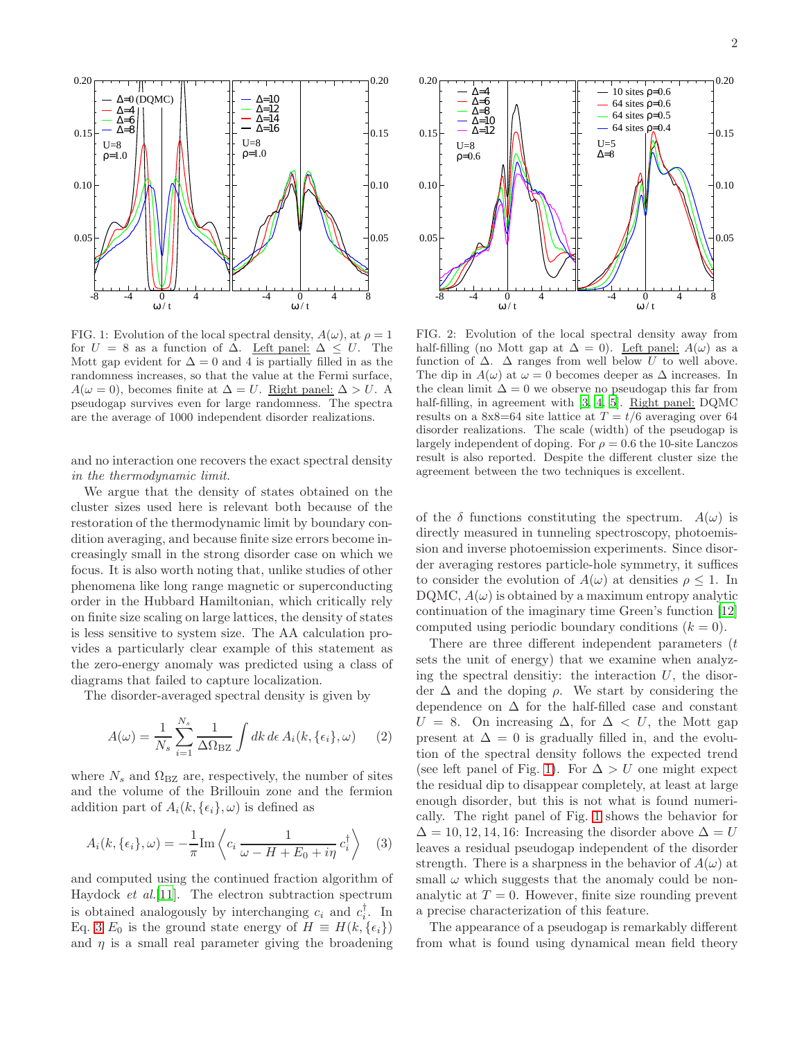

<span id="page-1-1"></span>FIG. 1: Evolution of the local spectral density,  $A(\omega)$ , at  $\rho = 1$ for  $U = 8$  as a function of  $\Delta$ . Left panel:  $\Delta \leq U$ . The Mott gap evident for  $\Delta = 0$  and 4 is partially filled in as the randomness increases, so that the value at the Fermi surface,  $A(\omega = 0)$ , becomes finite at  $\Delta = U$ . <u>Right panel:</u>  $\Delta > U$ . A pseudogap survives even for large randomness. The spectra are the average of 1000 independent disorder realizations.

and no interaction one recovers the exact spectral density in the thermodynamic limit.

We argue that the density of states obtained on the cluster sizes used here is relevant both because of the restoration of the thermodynamic limit by boundary condition averaging, and because finite size errors become increasingly small in the strong disorder case on which we focus. It is also worth noting that, unlike studies of other phenomena like long range magnetic or superconducting order in the Hubbard Hamiltonian, which critically rely on finite size scaling on large lattices, the density of states is less sensitive to system size. The AA calculation provides a particularly clear example of this statement as the zero-energy anomaly was predicted using a class of diagrams that failed to capture localization.

The disorder-averaged spectral density is given by

$$
A(\omega) = \frac{1}{N_s} \sum_{i=1}^{N_s} \frac{1}{\Delta \Omega_{\text{BZ}}} \int dk \, d\epsilon \, A_i(k, \{\epsilon_i\}, \omega) \tag{2}
$$

where  $N_s$  and  $\Omega_{\text{BZ}}$  are, respectively, the number of sites and the volume of the Brillouin zone and the fermion addition part of  $A_i(k, \{\epsilon_i\}, \omega)$  is defined as

<span id="page-1-0"></span>
$$
A_i(k, \{\epsilon_i\}, \omega) = -\frac{1}{\pi} \text{Im} \left\langle c_i \frac{1}{\omega - H + E_0 + i\eta} c_i^{\dagger} \right\rangle \tag{3}
$$

and computed using the continued fraction algorithm of Haydock et al.[\[11\]](#page-3-11). The electron subtraction spectrum is obtained analogously by interchanging  $c_i$  and  $c_i^{\dagger}$ . In Eq. [3](#page-1-0)  $E_0$  is the ground state energy of  $H \equiv H(k, {\epsilon_i})$ and  $\eta$  is a small real parameter giving the broadening



<span id="page-1-2"></span>FIG. 2: Evolution of the local spectral density away from half-filling (no Mott gap at  $\Delta = 0$ ). Left panel:  $A(\omega)$  as a function of  $\Delta$ .  $\Delta$  ranges from well below U to well above. The dip in  $A(\omega)$  at  $\omega = 0$  becomes deeper as  $\Delta$  increases. In the clean limit  $\Delta = 0$  we observe no pseudogap this far from half-filling, in agreement with [\[3](#page-3-3), [4,](#page-3-4) [5](#page-3-5)]. Right panel: DQMC results on a  $8x8=64$  site lattice at  $T = t/6$  averaging over 64 disorder realizations. The scale (width) of the pseudogap is largely independent of doping. For  $\rho = 0.6$  the 10-site Lanczos result is also reported. Despite the different cluster size the agreement between the two techniques is excellent.

of the  $\delta$  functions constituting the spectrum.  $A(\omega)$  is directly measured in tunneling spectroscopy, photoemission and inverse photoemission experiments. Since disorder averaging restores particle-hole symmetry, it suffices to consider the evolution of  $A(\omega)$  at densities  $\rho \leq 1$ . In DQMC,  $A(\omega)$  is obtained by a maximum entropy analytic continuation of the imaginary time Green's function [\[12](#page-3-12)] computed using periodic boundary conditions  $(k = 0)$ .

There are three different independent parameters  $(t)$ sets the unit of energy) that we examine when analyzing the spectral densitiy: the interaction  $U$ , the disorder  $\Delta$  and the doping  $\rho$ . We start by considering the dependence on  $\Delta$  for the half-filled case and constant  $U = 8$ . On increasing  $\Delta$ , for  $\Delta < U$ , the Mott gap present at  $\Delta = 0$  is gradually filled in, and the evolution of the spectral density follows the expected trend (see left panel of Fig. [1\)](#page-1-1). For  $\Delta > U$  one might expect the residual dip to disappear completely, at least at large enough disorder, but this is not what is found numerically. The right panel of Fig. [1](#page-1-1) shows the behavior for  $\Delta = 10, 12, 14, 16$ : Increasing the disorder above  $\Delta = U$ leaves a residual pseudogap independent of the disorder strength. There is a sharpness in the behavior of  $A(\omega)$  at small  $\omega$  which suggests that the anomaly could be nonanalytic at  $T = 0$ . However, finite size rounding prevent a precise characterization of this feature.

The appearance of a pseudogap is remarkably different from what is found using dynamical mean field theory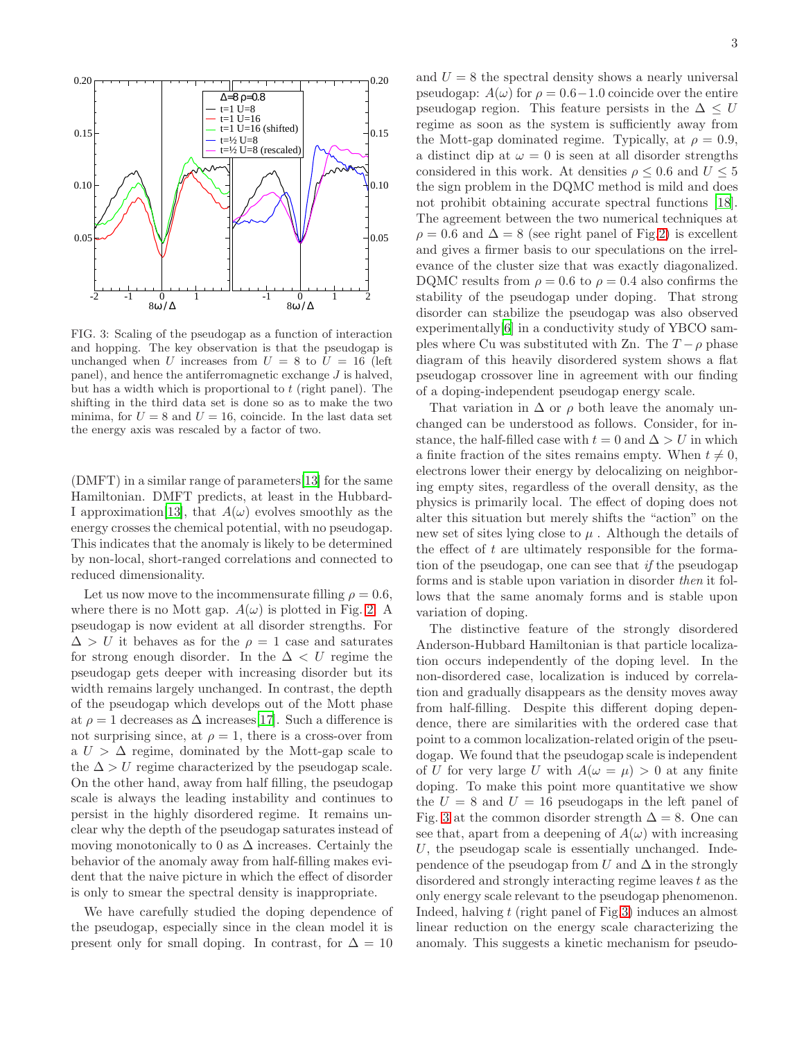

<span id="page-2-0"></span>FIG. 3: Scaling of the pseudogap as a function of interaction and hopping. The key observation is that the pseudogap is unchanged when U increases from  $U = 8$  to  $U = 16$  (left panel), and hence the antiferromagnetic exchange  $J$  is halved, but has a width which is proportional to  $t$  (right panel). The shifting in the third data set is done so as to make the two minima, for  $U = 8$  and  $U = 16$ , coincide. In the last data set the energy axis was rescaled by a factor of two.

(DMFT) in a similar range of parameters[\[13\]](#page-3-13) for the same Hamiltonian. DMFT predicts, at least in the Hubbard-I approximation [\[13\]](#page-3-13), that  $A(\omega)$  evolves smoothly as the energy crosses the chemical potential, with no pseudogap. This indicates that the anomaly is likely to be determined by non-local, short-ranged correlations and connected to reduced dimensionality.

Let us now move to the incommensurate filling  $\rho = 0.6$ , where there is no Mott gap.  $A(\omega)$  is plotted in Fig. [2.](#page-1-2) A pseudogap is now evident at all disorder strengths. For  $\Delta > U$  it behaves as for the  $\rho = 1$  case and saturates for strong enough disorder. In the  $\Delta < U$  regime the pseudogap gets deeper with increasing disorder but its width remains largely unchanged. In contrast, the depth of the pseudogap which develops out of the Mott phase at  $\rho = 1$  decreases as  $\Delta$  increases[\[17\]](#page-4-0). Such a difference is not surprising since, at  $\rho = 1$ , there is a cross-over from a  $U > \Delta$  regime, dominated by the Mott-gap scale to the  $\Delta > U$  regime characterized by the pseudogap scale. On the other hand, away from half filling, the pseudogap scale is always the leading instability and continues to persist in the highly disordered regime. It remains unclear why the depth of the pseudogap saturates instead of moving monotonically to 0 as  $\Delta$  increases. Certainly the behavior of the anomaly away from half-filling makes evident that the naive picture in which the effect of disorder is only to smear the spectral density is inappropriate.

We have carefully studied the doping dependence of the pseudogap, especially since in the clean model it is present only for small doping. In contrast, for  $\Delta = 10$ 

and  $U = 8$  the spectral density shows a nearly universal pseudogap:  $A(\omega)$  for  $\rho = 0.6-1.0$  coincide over the entire pseudogap region. This feature persists in the  $\Delta \leq U$ regime as soon as the system is sufficiently away from the Mott-gap dominated regime. Typically, at  $\rho = 0.9$ , a distinct dip at  $\omega = 0$  is seen at all disorder strengths considered in this work. At densities  $\rho \leq 0.6$  and  $U \leq 5$ the sign problem in the DQMC method is mild and does not prohibit obtaining accurate spectral functions [\[18\]](#page-4-1). The agreement between the two numerical techniques at  $\rho = 0.6$  and  $\Delta = 8$  (see right panel of Fig[.2\)](#page-1-2) is excellent and gives a firmer basis to our speculations on the irrelevance of the cluster size that was exactly diagonalized. DQMC results from  $\rho = 0.6$  to  $\rho = 0.4$  also confirms the stability of the pseudogap under doping. That strong disorder can stabilize the pseudogap was also observed experimentally[\[6](#page-3-6)] in a conductivity study of YBCO samples where Cu was substituted with Zn. The  $T - \rho$  phase diagram of this heavily disordered system shows a flat pseudogap crossover line in agreement with our finding of a doping-independent pseudogap energy scale.

That variation in  $\Delta$  or  $\rho$  both leave the anomaly unchanged can be understood as follows. Consider, for instance, the half-filled case with  $t = 0$  and  $\Delta > U$  in which a finite fraction of the sites remains empty. When  $t \neq 0$ , electrons lower their energy by delocalizing on neighboring empty sites, regardless of the overall density, as the physics is primarily local. The effect of doping does not alter this situation but merely shifts the "action" on the new set of sites lying close to  $\mu$ . Although the details of the effect of  $t$  are ultimately responsible for the formation of the pseudogap, one can see that if the pseudogap forms and is stable upon variation in disorder then it follows that the same anomaly forms and is stable upon variation of doping.

The distinctive feature of the strongly disordered Anderson-Hubbard Hamiltonian is that particle localization occurs independently of the doping level. In the non-disordered case, localization is induced by correlation and gradually disappears as the density moves away from half-filling. Despite this different doping dependence, there are similarities with the ordered case that point to a common localization-related origin of the pseudogap. We found that the pseudogap scale is independent of U for very large U with  $A(\omega = \mu) > 0$  at any finite doping. To make this point more quantitative we show the  $U = 8$  and  $U = 16$  pseudogaps in the left panel of Fig. [3](#page-2-0) at the common disorder strength  $\Delta = 8$ . One can see that, apart from a deepening of  $A(\omega)$  with increasing U, the pseudogap scale is essentially unchanged. Independence of the pseudogap from U and  $\Delta$  in the strongly disordered and strongly interacting regime leaves  $t$  as the only energy scale relevant to the pseudogap phenomenon. Indeed, halving t (right panel of Fig[.3\)](#page-2-0) induces an almost linear reduction on the energy scale characterizing the anomaly. This suggests a kinetic mechanism for pseudo-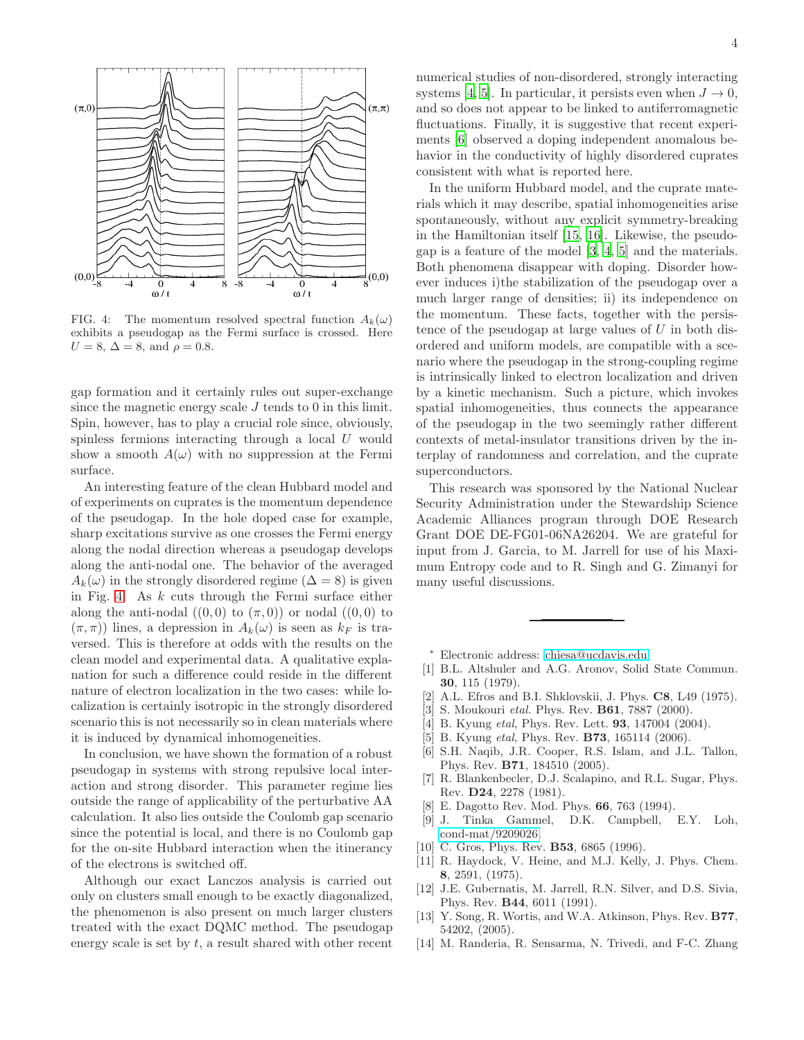

<span id="page-3-14"></span>FIG. 4: The momentum resolved spectral function  $A_k(\omega)$ exhibits a pseudogap as the Fermi surface is crossed. Here  $U = 8, \Delta = 8, \text{ and } \rho = 0.8.$ 

gap formation and it certainly rules out super-exchange since the magnetic energy scale  $J$  tends to 0 in this limit. Spin, however, has to play a crucial role since, obviously, spinless fermions interacting through a local  $U$  would show a smooth  $A(\omega)$  with no suppression at the Fermi surface.

An interesting feature of the clean Hubbard model and of experiments on cuprates is the momentum dependence of the pseudogap. In the hole doped case for example, sharp excitations survive as one crosses the Fermi energy along the nodal direction whereas a pseudogap develops along the anti-nodal one. The behavior of the averaged  $A_k(\omega)$  in the strongly disordered regime ( $\Delta = 8$ ) is given in Fig. [4.](#page-3-14) As  $k$  cuts through the Fermi surface either along the anti-nodal  $((0,0)$  to  $(\pi,0)$ ) or nodal  $((0,0)$  to  $(\pi, \pi)$ ) lines, a depression in  $A_k(\omega)$  is seen as  $k_F$  is traversed. This is therefore at odds with the results on the clean model and experimental data. A qualitative explanation for such a difference could reside in the different nature of electron localization in the two cases: while localization is certainly isotropic in the strongly disordered scenario this is not necessarily so in clean materials where it is induced by dynamical inhomogeneities.

In conclusion, we have shown the formation of a robust pseudogap in systems with strong repulsive local interaction and strong disorder. This parameter regime lies outside the range of applicability of the perturbative AA calculation. It also lies outside the Coulomb gap scenario since the potential is local, and there is no Coulomb gap for the on-site Hubbard interaction when the itinerancy of the electrons is switched off.

Although our exact Lanczos analysis is carried out only on clusters small enough to be exactly diagonalized, the phenomenon is also present on much larger clusters treated with the exact DQMC method. The pseudogap energy scale is set by  $t$ , a result shared with other recent

numerical studies of non-disordered, strongly interacting systems [\[4,](#page-3-4) [5\]](#page-3-5). In particular, it persists even when  $J \to 0$ , and so does not appear to be linked to antiferromagnetic fluctuations. Finally, it is suggestive that recent experiments [\[6\]](#page-3-6) observed a doping independent anomalous behavior in the conductivity of highly disordered cuprates consistent with what is reported here.

In the uniform Hubbard model, and the cuprate materials which it may describe, spatial inhomogeneities arise spontaneously, without any explicit symmetry-breaking in the Hamiltonian itself [\[15,](#page-4-2) [16\]](#page-4-3). Likewise, the pseudogap is a feature of the model [\[3](#page-3-3), [4](#page-3-4), [5\]](#page-3-5) and the materials. Both phenomena disappear with doping. Disorder however induces i)the stabilization of the pseudogap over a much larger range of densities; ii) its independence on the momentum. These facts, together with the persistence of the pseudogap at large values of  $U$  in both disordered and uniform models, are compatible with a scenario where the pseudogap in the strong-coupling regime is intrinsically linked to electron localization and driven by a kinetic mechanism. Such a picture, which invokes spatial inhomogeneities, thus connects the appearance of the pseudogap in the two seemingly rather different contexts of metal-insulator transitions driven by the interplay of randomness and correlation, and the cuprate superconductors.

This research was sponsored by the National Nuclear Security Administration under the Stewardship Science Academic Alliances program through DOE Research Grant DOE DE-FG01-06NA26204. We are grateful for input from J. Garcia, to M. Jarrell for use of his Maximum Entropy code and to R. Singh and G. Zimanyi for many useful discussions.

- <sup>∗</sup> Electronic address: [chiesa@ucdavis.edu](mailto:chiesa@ucdavis.edu)
- <span id="page-3-1"></span><span id="page-3-0"></span>[1] B.L. Altshuler and A.G. Aronov, Solid State Commun. 30, 115 (1979).
- <span id="page-3-2"></span>[2] A.L. Efros and B.I. Shklovskii, J. Phys. C8, L49 (1975).
- <span id="page-3-3"></span>[3] S. Moukouri *etal.* Phys. Rev. **B61**, 7887 (2000).
- <span id="page-3-4"></span>[4] B. Kyung *etal*, Phys. Rev. Lett. **93**, 147004 (2004).
- <span id="page-3-5"></span>[5] B. Kyung *etal*, Phys. Rev. **B73**, 165114 (2006).
- <span id="page-3-6"></span>[6] S.H. Naqib, J.R. Cooper, R.S. Islam, and J.L. Tallon, Phys. Rev. B71, 184510 (2005).
- <span id="page-3-7"></span>[7] R. Blankenbecler, D.J. Scalapino, and R.L. Sugar, Phys. Rev. D24, 2278 (1981).
- <span id="page-3-8"></span>E. Dagotto Rev. Mod. Phys. **66**, 763 (1994).
- <span id="page-3-9"></span>[9] J. Tinka Gammel, D.K. Campbell, E.Y. Loh, [cond-mat/9209026.](http://arxiv.org/abs/cond-mat/9209026)
- <span id="page-3-10"></span>[10] C. Gros, Phys. Rev. **B53**, 6865 (1996).
- <span id="page-3-11"></span>[11] R. Haydock, V. Heine, and M.J. Kelly, J. Phys. Chem. 8, 2591, (1975).
- <span id="page-3-12"></span>[12] J.E. Gubernatis, M. Jarrell, R.N. Silver, and D.S. Sivia, Phys. Rev. B44, 6011 (1991).
- <span id="page-3-13"></span>[13] Y. Song, R. Wortis, and W.A. Atkinson, Phys. Rev. B77, 54202, (2005).
- [14] M. Randeria, R. Sensarma, N. Trivedi, and F-C. Zhang